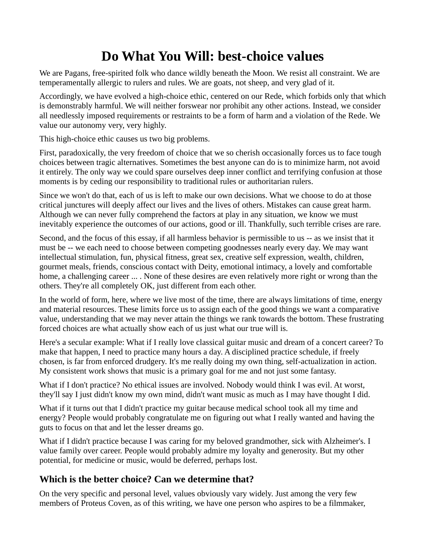# **Do What You Will: best-choice values**

We are Pagans, free-spirited folk who dance wildly beneath the Moon. We resist all constraint. We are temperamentally allergic to rulers and rules. We are goats, not sheep, and very glad of it.

Accordingly, we have evolved a [high-choice ethic,](http://proteuscoven.com/Hichoice.htm) centered on our [Rede,](http://proteuscoven.com/rede.htm) which forbids only that which is demonstrably harmful. We will neither forswear nor prohibit any other actions. Instead, we consider all needlessly imposed requirements or restraints to be a form of harm and a violation of the Rede. We value our autonomy very, very highly.

This high-choice ethic causes us two big problems.

First, paradoxically, the very freedom of choice that we so cherish occasionally forces us to face tough choices between tragic alternatives. Sometimes the best anyone can do is to minimize harm, not avoid it entirely. The only way we could spare ourselves deep inner conflict and terrifying confusion at those moments is by ceding our responsibility to traditional rules or authoritarian rulers.

Since we won't do that, each of us is left to make our own decisions. What we choose to do at those critical junctures will deeply affect our lives and the lives of others. Mistakes can cause great harm. Although we can never fully comprehend the factors at play in any situation, we know we must inevitably experience the outcomes of our actions, good or ill. Thankfully, such terrible crises are rare.

Second, and the focus of this essay, if all harmless behavior is permissible to us -- as we insist that it must be -- we each need to choose between competing goodnesses nearly every day. We may want intellectual stimulation, fun, physical fitness, great sex, creative self expression, wealth, children, gourmet meals, friends, conscious contact with Deity, emotional intimacy, a lovely and comfortable home, a challenging career ... . None of these desires are even relatively more right or wrong than the others. They're all completely OK, just different from each other.

In the world of form, here, where we live most of the time, there are always limitations of time, energy and material resources. These limits force us to assign each of the good things we want a comparative value, understanding that we may never attain the things we rank towards the bottom. These frustrating forced choices are what actually show each of us just what our true will is.

Here's a secular example: What if I really love classical guitar music and dream of a concert career? To make that happen, I need to practice many hours a day. A disciplined practice schedule, if freely chosen, is far from enforced drudgery. It's me really doing my own thing, self-actualization in action. My consistent work shows that music is a primary goal for me and not just some fantasy.

What if I don't practice? No ethical issues are involved. Nobody would think I was evil. At worst, they'll say I just didn't know my own mind, didn't want music as much as I may have thought I did.

What if it turns out that I didn't practice my guitar because medical school took all my time and energy? People would probably congratulate me on figuring out what I really wanted and having the guts to focus on that and let the lesser dreams go.

What if I didn't practice because I was caring for my beloved grandmother, sick with Alzheimer's. I value family over career. People would probably admire my loyalty and generosity. But my other potential, for medicine or music, would be deferred, perhaps lost.

## **Which is the better choice? Can we determine that?**

On the very specific and personal level, values obviously vary widely. Just among the very few members of Proteus Coven, as of this writing, we have one person who aspires to be a filmmaker,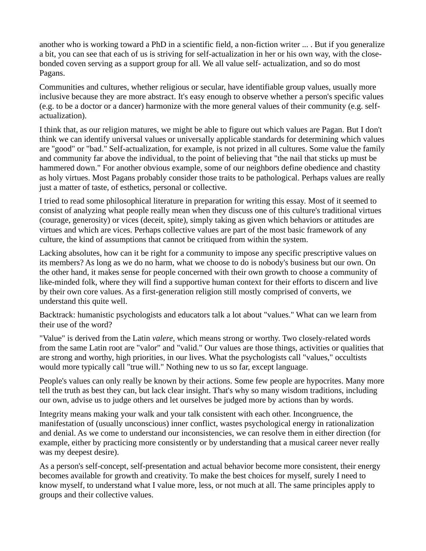another who is working toward a PhD in a scientific field, a non-fiction writer ... . But if you generalize a bit, you can see that each of us is striving for self-actualization in her or his own way, with the closebonded coven serving as a support group for all. We all value self- actualization, and so do most Pagans.

Communities and cultures, whether religious or secular, have identifiable group values, usually more inclusive because they are more abstract. It's easy enough to observe whether a person's specific values (e.g. to be a doctor or a dancer) harmonize with the more general values of their community (e.g. selfactualization).

I think that, as our religion matures, we might be able to figure out which values are Pagan. But I don't think we can identify universal values or universally applicable standards for determining which values are "good" or "bad." Self-actualization, for example, is not prized in all cultures. Some value the family and community far above the individual, to the point of believing that "the nail that sticks up must be hammered down." For another obvious example, some of our neighbors define obedience and chastity as holy virtues. Most Pagans probably consider those traits to be pathological. Perhaps values are really just a matter of taste, of esthetics, personal or collective.

I tried to read some philosophical literature in preparation for writing this essay. Most of it seemed to consist of analyzing what people really mean when they discuss one of this culture's traditional virtues (courage, generosity) or vices (deceit, spite), simply taking as given which behaviors or attitudes are virtues and which are vices. Perhaps collective values are part of the most basic framework of any culture, the kind of assumptions that cannot be critiqued from within the system.

Lacking absolutes, how can it be right for a community to impose any specific prescriptive values on its members? As long as we do no harm, what we choose to do is nobody's business but our own. On the other hand, it makes sense for people concerned with their own growth to choose a community of like-minded folk, where they will find a supportive human context for their efforts to discern and live by their own core values. As a first-generation religion still mostly comprised of converts, we understand this quite well.

Backtrack: humanistic psychologists and educators talk a lot about "values." What can we learn from their use of the word?

"Value" is derived from the Latin *valere,* which means strong or worthy. Two closely-related words from the same Latin root are "valor" and "valid." Our values are those things, activities or qualities that are strong and worthy, high priorities, in our lives. What the psychologists call "values," occultists would more typically call "true will." Nothing new to us so far, except language.

People's values can only really be known by their actions. Some few people are hypocrites. Many more tell the truth as best they can, but lack clear insight. That's why so many wisdom traditions, including our own, advise us to judge others and let ourselves be judged more by actions than by words.

Integrity means making your walk and your talk consistent with each other. Incongruence, the manifestation of (usually unconscious) inner conflict, wastes psychological energy in rationalization and denial. As we come to understand our inconsistencies, we can resolve them in either direction (for example, either by practicing more consistently or by understanding that a musical career never really was my deepest desire).

As a person's self-concept, self-presentation and actual behavior become more consistent, their energy becomes available for growth and creativity. To make the best choices for myself, surely I need to know myself, to understand what I value more, less, or not much at all. The same principles apply to groups and their collective values.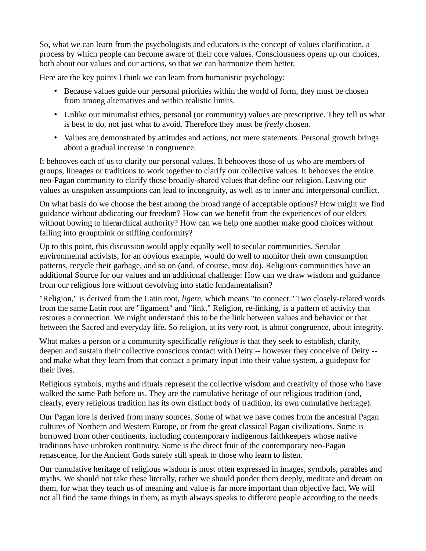So, what we can learn from the psychologists and educators is the concept of values clarification, a process by which people can become aware of their core values. Consciousness opens up our choices, both about our values and our actions, so that we can harmonize them better.

Here are the key points I think we can learn from humanistic psychology:

- Because values guide our personal priorities within the world of form, they must be chosen from among alternatives and within realistic limits.
- Unlike our minimalist ethics, personal (or community) values are prescriptive. They tell us what is best to do, not just what to avoid. Therefore they must be *freely* chosen.
- Values are demonstrated by attitudes and actions, not mere statements. Personal growth brings about a gradual increase in congruence.

It behooves each of us to clarify our personal values. It behooves those of us who are members of groups, lineages or traditions to work together to clarify our collective values. It behooves the entire neo-Pagan community to clarify those broadly-shared values that define our religion. Leaving our values as unspoken assumptions can lead to incongruity, as well as to inner and interpersonal conflict.

On what basis do we choose the best among the broad range of acceptable options? How might we find guidance without abdicating our freedom? How can we benefit from the experiences of our elders without bowing to hierarchical authority? How can we help one another make good choices without falling into groupthink or stifling conformity?

Up to this point, this discussion would apply equally well to secular communities. Secular environmental activists, for an obvious example, would do well to monitor their own consumption patterns, recycle their garbage, and so on (and, of course, most do). Religious communities have an additional Source for our values and an additional challenge: How can we draw wisdom and guidance from our religious lore without devolving into static fundamentalism?

"Religion," is derived from the Latin root, *ligere,* which means "to connect." Two closely-related words from the same Latin root are "ligament" and "link." Religion, re-linking, is a pattern of activity that restores a connection. We might understand this to be the link between values and behavior or that between the Sacred and everyday life. So religion, at its very root, is about congruence, about integrity.

What makes a person or a community specifically *religious* is that they seek to establish, clarify, deepen and sustain their collective conscious contact with Deity -- however they conceive of Deity - and make what they learn from that contact a primary input into their value system, a guidepost for their lives.

Religious symbols, myths and rituals represent the collective wisdom and creativity of those who have walked the same Path before us. They are the cumulative heritage of our religious tradition (and, clearly, every religious tradition has its own distinct body of tradition, its own cumulative heritage).

Our Pagan lore is derived from many sources. Some of what we have comes from the ancestral Pagan cultures of Northern and Western Europe, or from the great classical Pagan civilizations. Some is borrowed from other continents, including contemporary indigenous faithkeepers whose native traditions have unbroken continuity. Some is the direct fruit of the contemporary neo-Pagan renascence, for the Ancient Gods surely still speak to those who learn to listen.

Our cumulative heritage of religious wisdom is most often expressed in images, symbols, parables and myths. We should not take these literally, rather we should ponder them deeply, meditate and dream on them, for what they teach us of meaning and value is far more important than objective fact. We will not all find the same things in them, as myth always speaks to different people according to the needs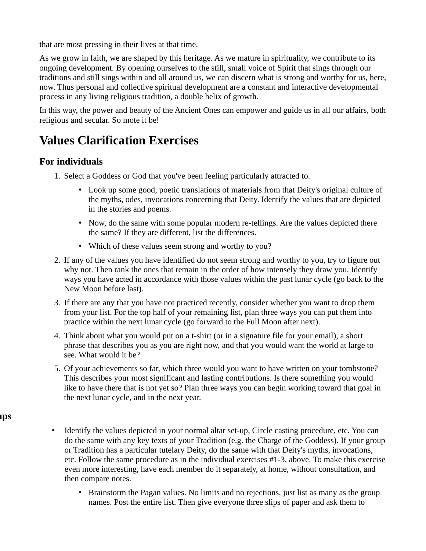that are most pressing in their lives at that time.

As we grow in faith, we are shaped by this heritage. As we mature in spirituality, we contribute to its ongoing development. By opening ourselves to the still, small voice of Spirit that sings through our traditions and still sings within and all around us, we can discern what is strong and worthy for us, here, now. Thus personal and collective spiritual development are a constant and interactive developmental process in any living religious tradition, a double helix of growth.

In this way, the power and beauty of the Ancient Ones can empower and guide us in all our affairs, both religious and secular. So mote it be!

# **Values Clarification Exercises**

### **For individuals**

- 1. Select a Goddess or God that you've been feeling particularly attracted to.
	- Look up some good, poetic translations of materials from that Deity's original culture of the myths, odes, invocations concerning that Deity. Identify the values that are depicted in the stories and poems.
	- Now, do the same with some popular modern re-tellings. Are the values depicted there the same? If they are different, list the differences.
	- Which of these values seem strong and worthy to you?
- 2. If any of the values you have identified do not seem strong and worthy to you, try to figure out why not. Then rank the ones that remain in the order of how intensely they draw you. Identify ways you have acted in accordance with those values within the past lunar cycle (go back to the New Moon before last).
- 3. If there are any that you have not practiced recently, consider whether you want to drop them from your list. For the top half of your remaining list, plan three ways you can put them into practice within the next lunar cycle (go forward to the Full Moon after next).
- 4. Think about what you would put on a t-shirt (or in a signature file for your email), a short phrase that describes you as you are right now, and that you would want the world at large to see. What would it be?
- 5. Of your achievements so far, which three would you want to have written on your tombstone? This describes your most significant and lasting contributions. Is there something you would like to have there that is not yet so? Plan three ways you can begin working toward that goal in the next lunar cycle, and in the next year.

#### **For groups**

- Identify the values depicted in your normal altar set-up, Circle casting procedure, etc. You can do the same with any key texts of your Tradition (e.g. the Charge of the Goddess). If your group or Tradition has a particular tutelary Deity, do the same with that Deity's myths, invocations, etc. Follow the same procedure as in the individual exercises #1-3, above. To make this exercise even more interesting, have each member do it separately, at home, without consultation, and then compare notes.
	- Brainstorm the Pagan values. No limits and no rejections, just list as many as the group names. Post the entire list. Then give everyone three slips of paper and ask them to